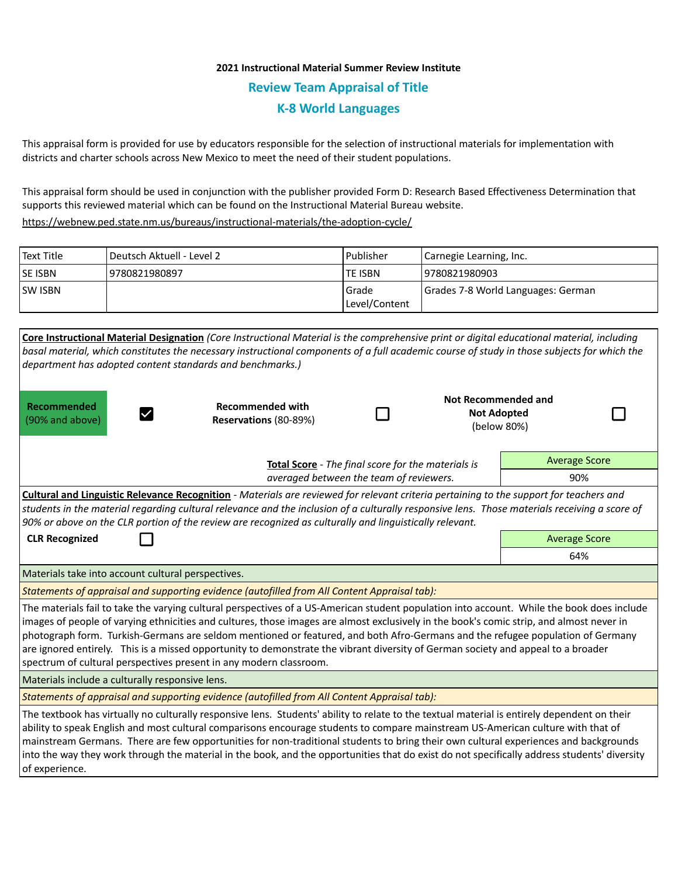## **2021 Instructional Material Summer Review Institute Review Team Appraisal of Title K-8 World Languages**

This appraisal form is provided for use by educators responsible for the selection of instructional materials for implementation with districts and charter schools across New Mexico to meet the need of their student populations.

This appraisal form should be used in conjunction with the publisher provided Form D: Research Based Effectiveness Determination that supports this reviewed material which can be found on the Instructional Material Bureau website.

<https://webnew.ped.state.nm.us/bureaus/instructional-materials/the-adoption-cycle/>

| Text Title     | l Deutsch Aktuell - Level 2 | Publisher                  | Carnegie Learning, Inc.            |  |
|----------------|-----------------------------|----------------------------|------------------------------------|--|
| <b>SE ISBN</b> | 9780821980897               | <b>TE ISBN</b>             | 19780821980903                     |  |
| <b>SW ISBN</b> |                             | l Grade<br>  Level/Content | Grades 7-8 World Languages: German |  |

| Core Instructional Material Designation (Core Instructional Material is the comprehensive print or digital educational material, including<br>basal material, which constitutes the necessary instructional components of a full academic course of study in those subjects for which the<br>department has adopted content standards and benchmarks.)                                                                                                                                                                                                                                                                              |                                                  |  |                                                                 |                      |  |  |  |
|-------------------------------------------------------------------------------------------------------------------------------------------------------------------------------------------------------------------------------------------------------------------------------------------------------------------------------------------------------------------------------------------------------------------------------------------------------------------------------------------------------------------------------------------------------------------------------------------------------------------------------------|--------------------------------------------------|--|-----------------------------------------------------------------|----------------------|--|--|--|
| Recommended<br>(90% and above)                                                                                                                                                                                                                                                                                                                                                                                                                                                                                                                                                                                                      | <b>Recommended with</b><br>Reservations (80-89%) |  | <b>Not Recommended and</b><br><b>Not Adopted</b><br>(below 80%) |                      |  |  |  |
| Total Score - The final score for the materials is<br>averaged between the team of reviewers.                                                                                                                                                                                                                                                                                                                                                                                                                                                                                                                                       |                                                  |  |                                                                 | <b>Average Score</b> |  |  |  |
|                                                                                                                                                                                                                                                                                                                                                                                                                                                                                                                                                                                                                                     |                                                  |  |                                                                 | 90%                  |  |  |  |
| Cultural and Linguistic Relevance Recognition - Materials are reviewed for relevant criteria pertaining to the support for teachers and<br>students in the material regarding cultural relevance and the inclusion of a culturally responsive lens. Those materials receiving a score of<br>90% or above on the CLR portion of the review are recognized as culturally and linguistically relevant.                                                                                                                                                                                                                                 |                                                  |  |                                                                 |                      |  |  |  |
| <b>CLR Recognized</b>                                                                                                                                                                                                                                                                                                                                                                                                                                                                                                                                                                                                               |                                                  |  |                                                                 | <b>Average Score</b> |  |  |  |
|                                                                                                                                                                                                                                                                                                                                                                                                                                                                                                                                                                                                                                     |                                                  |  |                                                                 | 64%                  |  |  |  |
| Materials take into account cultural perspectives.                                                                                                                                                                                                                                                                                                                                                                                                                                                                                                                                                                                  |                                                  |  |                                                                 |                      |  |  |  |
| Statements of appraisal and supporting evidence (autofilled from All Content Appraisal tab):                                                                                                                                                                                                                                                                                                                                                                                                                                                                                                                                        |                                                  |  |                                                                 |                      |  |  |  |
| The materials fail to take the varying cultural perspectives of a US-American student population into account. While the book does include<br>images of people of varying ethnicities and cultures, those images are almost exclusively in the book's comic strip, and almost never in<br>photograph form. Turkish-Germans are seldom mentioned or featured, and both Afro-Germans and the refugee population of Germany<br>are ignored entirely. This is a missed opportunity to demonstrate the vibrant diversity of German society and appeal to a broader<br>spectrum of cultural perspectives present in any modern classroom. |                                                  |  |                                                                 |                      |  |  |  |
| Materials include a culturally responsive lens.                                                                                                                                                                                                                                                                                                                                                                                                                                                                                                                                                                                     |                                                  |  |                                                                 |                      |  |  |  |
| Statements of appraisal and supporting evidence (autofilled from All Content Appraisal tab):                                                                                                                                                                                                                                                                                                                                                                                                                                                                                                                                        |                                                  |  |                                                                 |                      |  |  |  |
| The textbook has virtually no culturally responsive lens. Students' ability to relate to the textual material is entirely dependent on their<br>ability to speak English and most cultural comparisons encourage students to compare mainstream US-American culture with that of<br>mainstream Germans. There are few opportunities for non-traditional students to bring their own cultural experiences and backgrounds<br>into the way they work through the material in the book, and the opportunities that do exist do not specifically address students' diversity<br>of experience.                                          |                                                  |  |                                                                 |                      |  |  |  |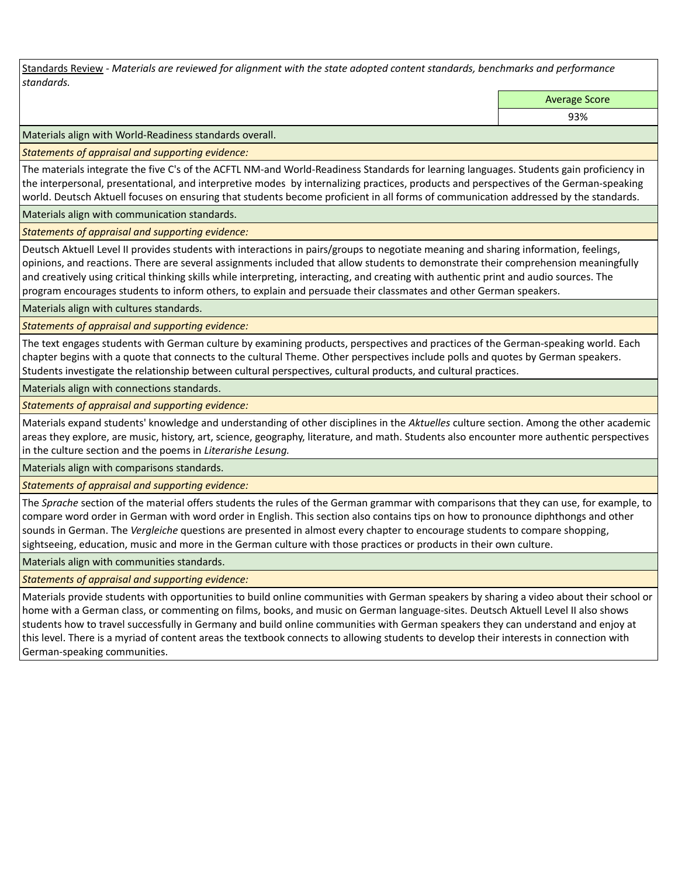Standards Review *- Materials are reviewed for alignment with the state adopted content standards, benchmarks and performance standards.*

Average Score

93%

Materials align with World-Readiness standards overall.

*Statements of appraisal and supporting evidence:* 

The materials integrate the five C's of the ACFTL NM-and World-Readiness Standards for learning languages. Students gain proficiency in the interpersonal, presentational, and interpretive modes by internalizing practices, products and perspectives of the German-speaking world. Deutsch Aktuell focuses on ensuring that students become proficient in all forms of communication addressed by the standards.

Materials align with communication standards.

*Statements of appraisal and supporting evidence:* 

Deutsch Aktuell Level II provides students with interactions in pairs/groups to negotiate meaning and sharing information, feelings, opinions, and reactions. There are several assignments included that allow students to demonstrate their comprehension meaningfully and creatively using critical thinking skills while interpreting, interacting, and creating with authentic print and audio sources. The program encourages students to inform others, to explain and persuade their classmates and other German speakers.

Materials align with cultures standards.

*Statements of appraisal and supporting evidence:* 

The text engages students with German culture by examining products, perspectives and practices of the German-speaking world. Each chapter begins with a quote that connects to the cultural Theme. Other perspectives include polls and quotes by German speakers. Students investigate the relationship between cultural perspectives, cultural products, and cultural practices.

Materials align with connections standards.

*Statements of appraisal and supporting evidence:* 

Materials expand students' knowledge and understanding of other disciplines in the *Aktuelles* culture section. Among the other academic areas they explore, are music, history, art, science, geography, literature, and math. Students also encounter more authentic perspectives in the culture section and the poems in *Literarishe Lesung.*

Materials align with comparisons standards.

*Statements of appraisal and supporting evidence:* 

The *Sprache* section of the material offers students the rules of the German grammar with comparisons that they can use, for example, to compare word order in German with word order in English. This section also contains tips on how to pronounce diphthongs and other sounds in German. The *Vergleiche* questions are presented in almost every chapter to encourage students to compare shopping, sightseeing, education, music and more in the German culture with those practices or products in their own culture.

Materials align with communities standards.

*Statements of appraisal and supporting evidence:* 

Materials provide students with opportunities to build online communities with German speakers by sharing a video about their school or home with a German class, or commenting on films, books, and music on German language-sites. Deutsch Aktuell Level II also shows students how to travel successfully in Germany and build online communities with German speakers they can understand and enjoy at this level. There is a myriad of content areas the textbook connects to allowing students to develop their interests in connection with German-speaking communities.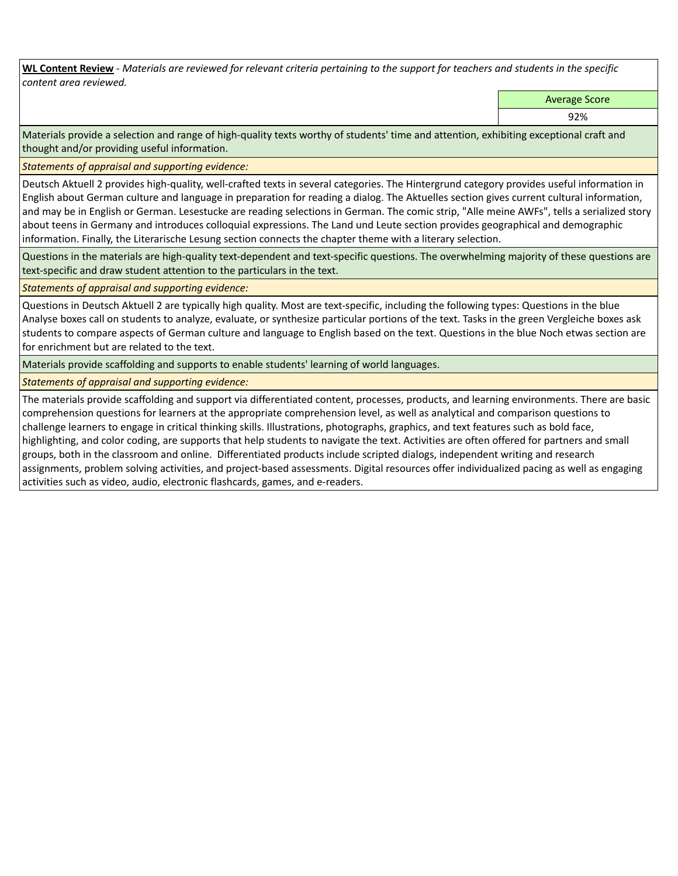**WL Content Review** *- Materials are reviewed for relevant criteria pertaining to the support for teachers and students in the specific content area reviewed.*

Average Score

92%

Materials provide a selection and range of high-quality texts worthy of students' time and attention, exhibiting exceptional craft and thought and/or providing useful information.

*Statements of appraisal and supporting evidence:* 

Deutsch Aktuell 2 provides high-quality, well-crafted texts in several categories. The Hintergrund category provides useful information in English about German culture and language in preparation for reading a dialog. The Aktuelles section gives current cultural information, and may be in English or German. Lesestucke are reading selections in German. The comic strip, "Alle meine AWFs", tells a serialized story about teens in Germany and introduces colloquial expressions. The Land und Leute section provides geographical and demographic information. Finally, the Literarische Lesung section connects the chapter theme with a literary selection.

Questions in the materials are high-quality text-dependent and text-specific questions. The overwhelming majority of these questions are text-specific and draw student attention to the particulars in the text.

*Statements of appraisal and supporting evidence:* 

Questions in Deutsch Aktuell 2 are typically high quality. Most are text-specific, including the following types: Questions in the blue Analyse boxes call on students to analyze, evaluate, or synthesize particular portions of the text. Tasks in the green Vergleiche boxes ask students to compare aspects of German culture and language to English based on the text. Questions in the blue Noch etwas section are for enrichment but are related to the text.

Materials provide scaffolding and supports to enable students' learning of world languages.

*Statements of appraisal and supporting evidence:* 

The materials provide scaffolding and support via differentiated content, processes, products, and learning environments. There are basic comprehension questions for learners at the appropriate comprehension level, as well as analytical and comparison questions to challenge learners to engage in critical thinking skills. Illustrations, photographs, graphics, and text features such as bold face, highlighting, and color coding, are supports that help students to navigate the text. Activities are often offered for partners and small groups, both in the classroom and online. Differentiated products include scripted dialogs, independent writing and research assignments, problem solving activities, and project-based assessments. Digital resources offer individualized pacing as well as engaging activities such as video, audio, electronic flashcards, games, and e-readers.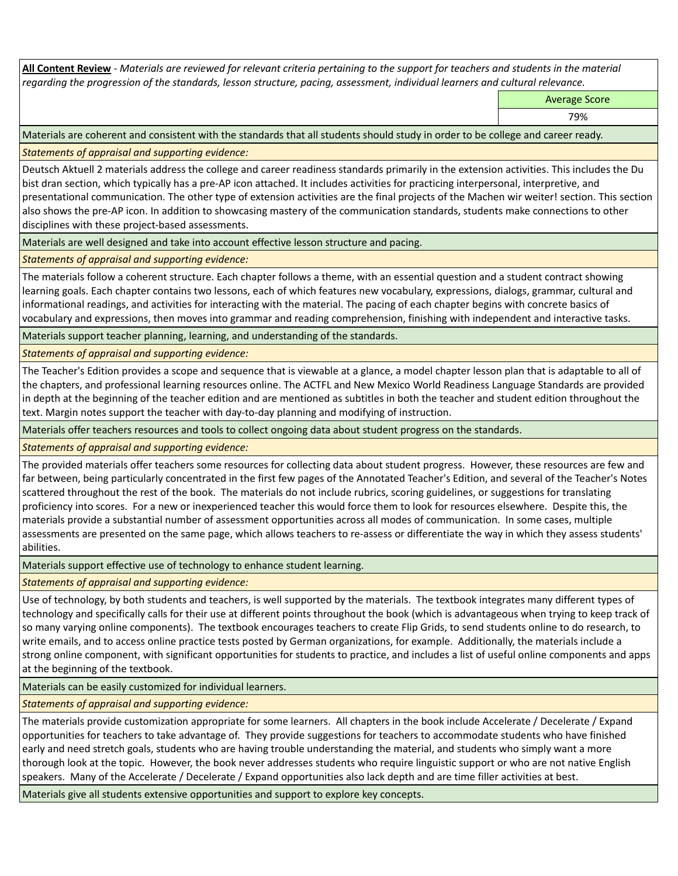**All Content Review** *- Materials are reviewed for relevant criteria pertaining to the support for teachers and students in the material regarding the progression of the standards, lesson structure, pacing, assessment, individual learners and cultural relevance.*

Average Score

79%

Materials are coherent and consistent with the standards that all students should study in order to be college and career ready.

*Statements of appraisal and supporting evidence:*

Deutsch Aktuell 2 materials address the college and career readiness standards primarily in the extension activities. This includes the Du bist dran section, which typically has a pre-AP icon attached. It includes activities for practicing interpersonal, interpretive, and presentational communication. The other type of extension activities are the final projects of the Machen wir weiter! section. This section also shows the pre-AP icon. In addition to showcasing mastery of the communication standards, students make connections to other disciplines with these project-based assessments.

Materials are well designed and take into account effective lesson structure and pacing.

*Statements of appraisal and supporting evidence:*

The materials follow a coherent structure. Each chapter follows a theme, with an essential question and a student contract showing learning goals. Each chapter contains two lessons, each of which features new vocabulary, expressions, dialogs, grammar, cultural and informational readings, and activities for interacting with the material. The pacing of each chapter begins with concrete basics of vocabulary and expressions, then moves into grammar and reading comprehension, finishing with independent and interactive tasks.

Materials support teacher planning, learning, and understanding of the standards.

*Statements of appraisal and supporting evidence:*

The Teacher's Edition provides a scope and sequence that is viewable at a glance, a model chapter lesson plan that is adaptable to all of the chapters, and professional learning resources online. The ACTFL and New Mexico World Readiness Language Standards are provided in depth at the beginning of the teacher edition and are mentioned as subtitles in both the teacher and student edition throughout the text. Margin notes support the teacher with day-to-day planning and modifying of instruction.

Materials offer teachers resources and tools to collect ongoing data about student progress on the standards.

*Statements of appraisal and supporting evidence:*

The provided materials offer teachers some resources for collecting data about student progress. However, these resources are few and far between, being particularly concentrated in the first few pages of the Annotated Teacher's Edition, and several of the Teacher's Notes scattered throughout the rest of the book. The materials do not include rubrics, scoring guidelines, or suggestions for translating proficiency into scores. For a new or inexperienced teacher this would force them to look for resources elsewhere. Despite this, the materials provide a substantial number of assessment opportunities across all modes of communication. In some cases, multiple assessments are presented on the same page, which allows teachers to re-assess or differentiate the way in which they assess students' abilities.

Materials support effective use of technology to enhance student learning.

*Statements of appraisal and supporting evidence:*

Use of technology, by both students and teachers, is well supported by the materials. The textbook integrates many different types of technology and specifically calls for their use at different points throughout the book (which is advantageous when trying to keep track of so many varying online components). The textbook encourages teachers to create Flip Grids, to send students online to do research, to write emails, and to access online practice tests posted by German organizations, for example. Additionally, the materials include a strong online component, with significant opportunities for students to practice, and includes a list of useful online components and apps at the beginning of the textbook.

Materials can be easily customized for individual learners.

*Statements of appraisal and supporting evidence:* 

The materials provide customization appropriate for some learners. All chapters in the book include Accelerate / Decelerate / Expand opportunities for teachers to take advantage of. They provide suggestions for teachers to accommodate students who have finished early and need stretch goals, students who are having trouble understanding the material, and students who simply want a more thorough look at the topic. However, the book never addresses students who require linguistic support or who are not native English speakers. Many of the Accelerate / Decelerate / Expand opportunities also lack depth and are time filler activities at best.

Materials give all students extensive opportunities and support to explore key concepts.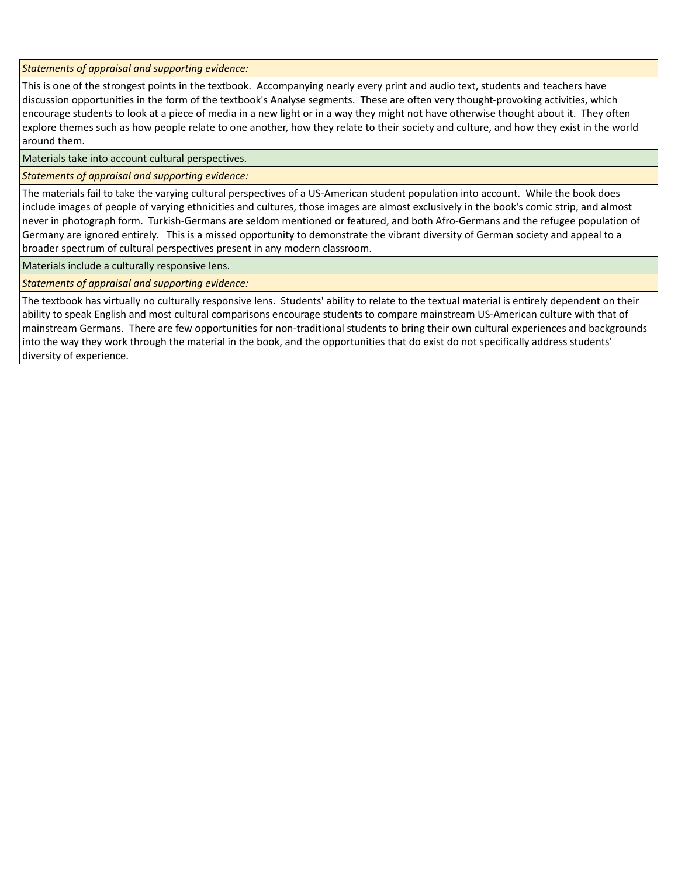*Statements of appraisal and supporting evidence:*

This is one of the strongest points in the textbook. Accompanying nearly every print and audio text, students and teachers have discussion opportunities in the form of the textbook's Analyse segments. These are often very thought-provoking activities, which encourage students to look at a piece of media in a new light or in a way they might not have otherwise thought about it. They often explore themes such as how people relate to one another, how they relate to their society and culture, and how they exist in the world around them.

Materials take into account cultural perspectives.

## *Statements of appraisal and supporting evidence:*

The materials fail to take the varying cultural perspectives of a US-American student population into account. While the book does include images of people of varying ethnicities and cultures, those images are almost exclusively in the book's comic strip, and almost never in photograph form. Turkish-Germans are seldom mentioned or featured, and both Afro-Germans and the refugee population of Germany are ignored entirely. This is a missed opportunity to demonstrate the vibrant diversity of German society and appeal to a broader spectrum of cultural perspectives present in any modern classroom.

Materials include a culturally responsive lens.

*Statements of appraisal and supporting evidence:*

The textbook has virtually no culturally responsive lens. Students' ability to relate to the textual material is entirely dependent on their ability to speak English and most cultural comparisons encourage students to compare mainstream US-American culture with that of mainstream Germans. There are few opportunities for non-traditional students to bring their own cultural experiences and backgrounds into the way they work through the material in the book, and the opportunities that do exist do not specifically address students' diversity of experience.